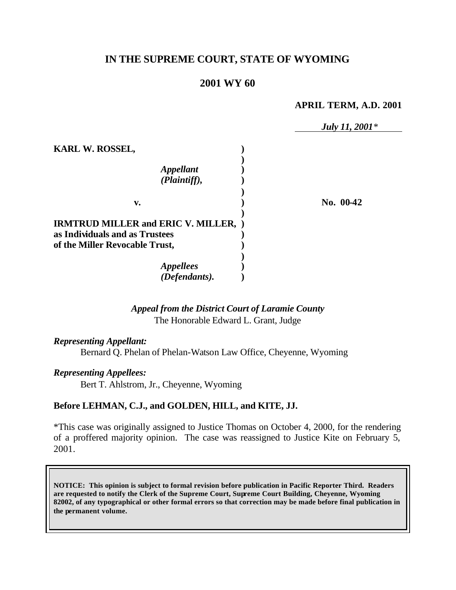# **IN THE SUPREME COURT, STATE OF WYOMING**

### **2001 WY 60**

#### **APRIL TERM, A.D. 2001**

|                                             | July 11, 2001 <sup>*</sup> |
|---------------------------------------------|----------------------------|
| <b>KARL W. ROSSEL,</b>                      |                            |
|                                             |                            |
| <b>Appellant</b>                            |                            |
| (Plaintiff),                                |                            |
|                                             |                            |
| v.                                          | No. 00-42                  |
| <b>IRMTRUD MILLER and ERIC V. MILLER, )</b> |                            |
| as Individuals and as Trustees              |                            |
| of the Miller Revocable Trust,              |                            |
|                                             |                            |
| <i><b>Appellees</b></i>                     |                            |
| (Defendants).                               |                            |

# *Appeal from the District Court of Laramie County* The Honorable Edward L. Grant, Judge

*Representing Appellant:*

Bernard Q. Phelan of Phelan-Watson Law Office, Cheyenne, Wyoming

*Representing Appellees:*

Bert T. Ahlstrom, Jr., Cheyenne, Wyoming

#### **Before LEHMAN, C.J., and GOLDEN, HILL, and KITE, JJ.**

\*This case was originally assigned to Justice Thomas on October 4, 2000, for the rendering of a proffered majority opinion. The case was reassigned to Justice Kite on February 5, 2001.

**NOTICE: This opinion is subject to formal revision before publication in Pacific Reporter Third. Readers are requested to notify the Clerk of the Supreme Court, Supreme Court Building, Cheyenne, Wyoming 82002, of any typographical or other formal errors so that correction may be made before final publication in the permanent volume.**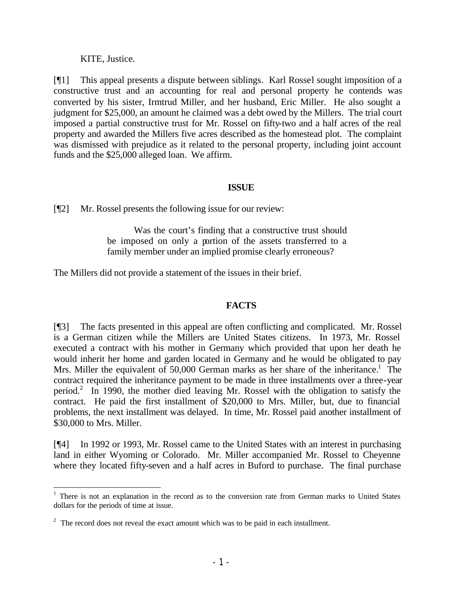#### KITE, Justice.

[¶1] This appeal presents a dispute between siblings. Karl Rossel sought imposition of a constructive trust and an accounting for real and personal property he contends was converted by his sister, Irmtrud Miller, and her husband, Eric Miller. He also sought a judgment for \$25,000, an amount he claimed was a debt owed by the Millers. The trial court imposed a partial constructive trust for Mr. Rossel on fifty-two and a half acres of the real property and awarded the Millers five acres described as the homestead plot. The complaint was dismissed with prejudice as it related to the personal property, including joint account funds and the \$25,000 alleged loan. We affirm.

#### **ISSUE**

[¶2] Mr. Rossel presents the following issue for our review:

Was the court's finding that a constructive trust should be imposed on only a portion of the assets transferred to a family member under an implied promise clearly erroneous?

The Millers did not provide a statement of the issues in their brief.

#### **FACTS**

[¶3] The facts presented in this appeal are often conflicting and complicated. Mr. Rossel is a German citizen while the Millers are United States citizens. In 1973, Mr. Rossel executed a contract with his mother in Germany which provided that upon her death he would inherit her home and garden located in Germany and he would be obligated to pay Mrs. Miller the equivalent of 50,000 German marks as her share of the inheritance.<sup>1</sup> The contract required the inheritance payment to be made in three installments over a three-year period.<sup>2</sup> In 1990, the mother died leaving Mr. Rossel with the obligation to satisfy the contract. He paid the first installment of \$20,000 to Mrs. Miller, but, due to financial problems, the next installment was delayed. In time, Mr. Rossel paid another installment of \$30,000 to Mrs. Miller.

[¶4] In 1992 or 1993, Mr. Rossel came to the United States with an interest in purchasing land in either Wyoming or Colorado. Mr. Miller accompanied Mr. Rossel to Cheyenne where they located fifty-seven and a half acres in Buford to purchase. The final purchase

<sup>&</sup>lt;sup>1</sup> There is not an explanation in the record as to the conversion rate from German marks to United States dollars for the periods of time at issue.

 $2^2$  The record does not reveal the exact amount which was to be paid in each installment.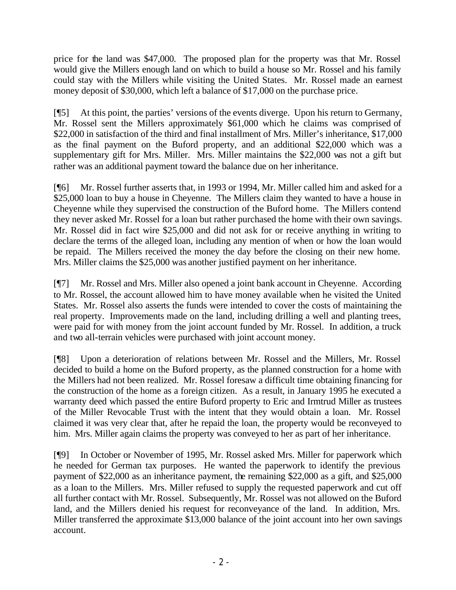price for the land was \$47,000. The proposed plan for the property was that Mr. Rossel would give the Millers enough land on which to build a house so Mr. Rossel and his family could stay with the Millers while visiting the United States. Mr. Rossel made an earnest money deposit of \$30,000, which left a balance of \$17,000 on the purchase price.

[¶5] At this point, the parties' versions of the events diverge. Upon his return to Germany, Mr. Rossel sent the Millers approximately \$61,000 which he claims was comprised of \$22,000 in satisfaction of the third and final installment of Mrs. Miller's inheritance, \$17,000 as the final payment on the Buford property, and an additional \$22,000 which was a supplementary gift for Mrs. Miller. Mrs. Miller maintains the \$22,000 was not a gift but rather was an additional payment toward the balance due on her inheritance.

[¶6] Mr. Rossel further asserts that, in 1993 or 1994, Mr. Miller called him and asked for a \$25,000 loan to buy a house in Cheyenne. The Millers claim they wanted to have a house in Cheyenne while they supervised the construction of the Buford home. The Millers contend they never asked Mr. Rossel for a loan but rather purchased the home with their own savings. Mr. Rossel did in fact wire \$25,000 and did not ask for or receive anything in writing to declare the terms of the alleged loan, including any mention of when or how the loan would be repaid. The Millers received the money the day before the closing on their new home. Mrs. Miller claims the \$25,000 was another justified payment on her inheritance.

[¶7] Mr. Rossel and Mrs. Miller also opened a joint bank account in Cheyenne. According to Mr. Rossel, the account allowed him to have money available when he visited the United States. Mr. Rossel also asserts the funds were intended to cover the costs of maintaining the real property. Improvements made on the land, including drilling a well and planting trees, were paid for with money from the joint account funded by Mr. Rossel. In addition, a truck and two all-terrain vehicles were purchased with joint account money.

[¶8] Upon a deterioration of relations between Mr. Rossel and the Millers, Mr. Rossel decided to build a home on the Buford property, as the planned construction for a home with the Millers had not been realized. Mr. Rossel foresaw a difficult time obtaining financing for the construction of the home as a foreign citizen. As a result, in January 1995 he executed a warranty deed which passed the entire Buford property to Eric and Irmtrud Miller as trustees of the Miller Revocable Trust with the intent that they would obtain a loan. Mr. Rossel claimed it was very clear that, after he repaid the loan, the property would be reconveyed to him. Mrs. Miller again claims the property was conveyed to her as part of her inheritance.

[¶9] In October or November of 1995, Mr. Rossel asked Mrs. Miller for paperwork which he needed for German tax purposes. He wanted the paperwork to identify the previous payment of \$22,000 as an inheritance payment, the remaining \$22,000 as a gift, and \$25,000 as a loan to the Millers. Mrs. Miller refused to supply the requested paperwork and cut off all further contact with Mr. Rossel. Subsequently, Mr. Rossel was not allowed on the Buford land, and the Millers denied his request for reconveyance of the land. In addition, Mrs. Miller transferred the approximate \$13,000 balance of the joint account into her own savings account.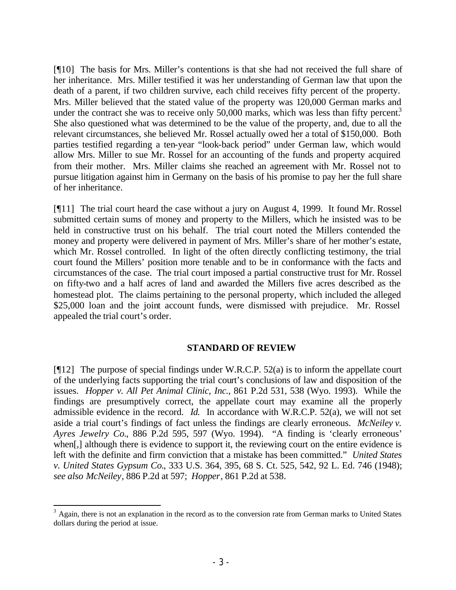[¶10] The basis for Mrs. Miller's contentions is that she had not received the full share of her inheritance. Mrs. Miller testified it was her understanding of German law that upon the death of a parent, if two children survive, each child receives fifty percent of the property. Mrs. Miller believed that the stated value of the property was 120,000 German marks and under the contract she was to receive only  $50,000$  marks, which was less than fifty percent.<sup>3</sup> She also questioned what was determined to be the value of the property, and, due to all the relevant circumstances, she believed Mr. Rossel actually owed her a total of \$150,000. Both parties testified regarding a ten-year "look-back period" under German law, which would allow Mrs. Miller to sue Mr. Rossel for an accounting of the funds and property acquired from their mother. Mrs. Miller claims she reached an agreement with Mr. Rossel not to pursue litigation against him in Germany on the basis of his promise to pay her the full share of her inheritance.

[¶11] The trial court heard the case without a jury on August 4, 1999. It found Mr. Rossel submitted certain sums of money and property to the Millers, which he insisted was to be held in constructive trust on his behalf. The trial court noted the Millers contended the money and property were delivered in payment of Mrs. Miller's share of her mother's estate, which Mr. Rossel controlled. In light of the often directly conflicting testimony, the trial court found the Millers' position more tenable and to be in conformance with the facts and circumstances of the case. The trial court imposed a partial constructive trust for Mr. Rossel on fifty-two and a half acres of land and awarded the Millers five acres described as the homestead plot. The claims pertaining to the personal property, which included the alleged \$25,000 loan and the joint account funds, were dismissed with prejudice. Mr. Rossel appealed the trial court's order.

#### **STANDARD OF REVIEW**

[ $[12]$ ] The purpose of special findings under W.R.C.P. 52(a) is to inform the appellate court of the underlying facts supporting the trial court's conclusions of law and disposition of the issues. *Hopper v. All Pet Animal Clinic, Inc.*, 861 P.2d 531, 538 (Wyo. 1993). While the findings are presumptively correct, the appellate court may examine all the properly admissible evidence in the record. *Id.* In accordance with W.R.C.P. 52(a), we will not set aside a trial court's findings of fact unless the findings are clearly erroneous. *McNeiley v. Ayres Jewelry Co.*, 886 P.2d 595, 597 (Wyo. 1994). "A finding is 'clearly erroneous' when[,] although there is evidence to support it, the reviewing court on the entire evidence is left with the definite and firm conviction that a mistake has been committed." *United States v. United States Gypsum Co.*, 333 U.S. 364, 395, 68 S. Ct. 525, 542, 92 L. Ed. 746 (1948); *see also McNeiley*, 886 P.2d at 597; *Hopper*, 861 P.2d at 538.

 $3$  Again, there is not an explanation in the record as to the conversion rate from German marks to United States dollars during the period at issue.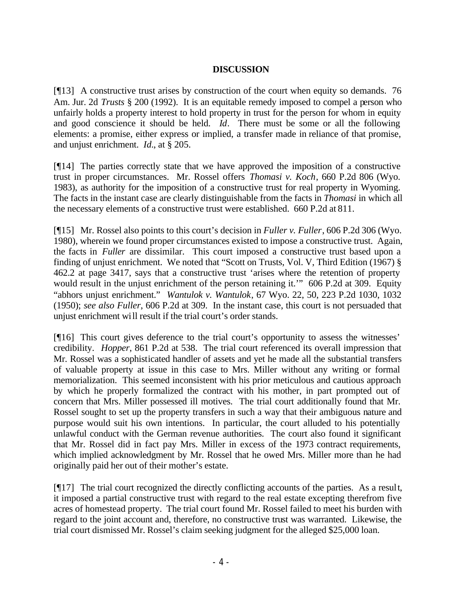### **DISCUSSION**

[¶13] A constructive trust arises by construction of the court when equity so demands. 76 Am. Jur. 2d *Trusts* § 200 (1992). It is an equitable remedy imposed to compel a person who unfairly holds a property interest to hold property in trust for the person for whom in equity and good conscience it should be held. *Id*. There must be some or all the following elements: a promise, either express or implied, a transfer made in reliance of that promise, and unjust enrichment. *Id.*, at § 205.

[¶14] The parties correctly state that we have approved the imposition of a constructive trust in proper circumstances. Mr. Rossel offers *Thomasi v. Koch*, 660 P.2d 806 (Wyo. 1983), as authority for the imposition of a constructive trust for real property in Wyoming. The facts in the instant case are clearly distinguishable from the facts in *Thomasi* in which all the necessary elements of a constructive trust were established. 660 P.2d at 811.

[¶15] Mr. Rossel also points to this court's decision in *Fuller v. Fuller*, 606 P.2d 306 (Wyo. 1980), wherein we found proper circumstances existed to impose a constructive trust. Again, the facts in *Fuller* are dissimilar. This court imposed a constructive trust based upon a finding of unjust enrichment. We noted that "Scott on Trusts, Vol. V, Third Edition (1967) § 462.2 at page 3417, says that a constructive trust 'arises where the retention of property would result in the unjust enrichment of the person retaining it.'" 606 P.2d at 309. Equity "abhors unjust enrichment." *Wantulok v. Wantulok*, 67 Wyo. 22, 50, 223 P.2d 1030, 1032 (1950); *see also Fuller*, 606 P.2d at 309. In the instant case, this court is not persuaded that unjust enrichment will result if the trial court's order stands.

[¶16] This court gives deference to the trial court's opportunity to assess the witnesses' credibility. *Hopper*, 861 P.2d at 538. The trial court referenced its overall impression that Mr. Rossel was a sophisticated handler of assets and yet he made all the substantial transfers of valuable property at issue in this case to Mrs. Miller without any writing or formal memorialization. This seemed inconsistent with his prior meticulous and cautious approach by which he properly formalized the contract with his mother, in part prompted out of concern that Mrs. Miller possessed ill motives. The trial court additionally found that Mr. Rossel sought to set up the property transfers in such a way that their ambiguous nature and purpose would suit his own intentions. In particular, the court alluded to his potentially unlawful conduct with the German revenue authorities. The court also found it significant that Mr. Rossel did in fact pay Mrs. Miller in excess of the 1973 contract requirements, which implied acknowledgment by Mr. Rossel that he owed Mrs. Miller more than he had originally paid her out of their mother's estate.

[¶17] The trial court recognized the directly conflicting accounts of the parties. As a result, it imposed a partial constructive trust with regard to the real estate excepting therefrom five acres of homestead property. The trial court found Mr. Rossel failed to meet his burden with regard to the joint account and, therefore, no constructive trust was warranted. Likewise, the trial court dismissed Mr. Rossel's claim seeking judgment for the alleged \$25,000 loan.